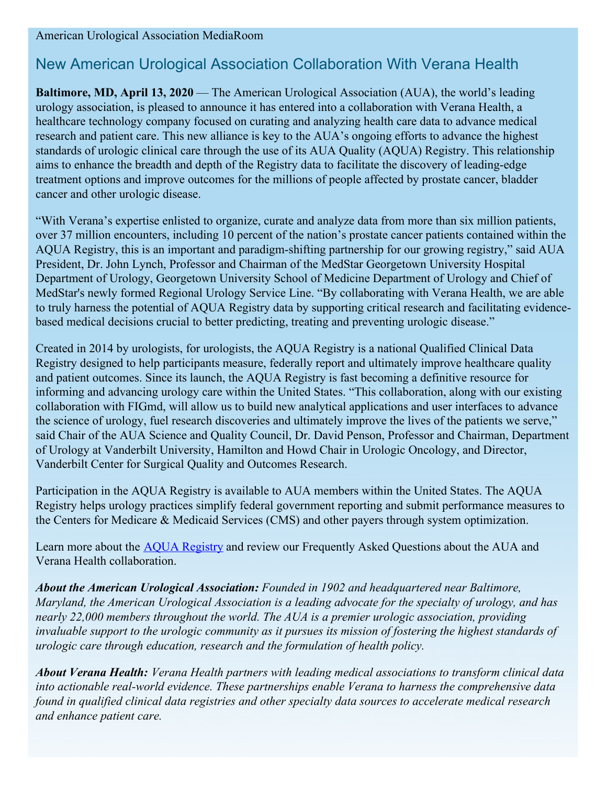American Urological Association MediaRoom

## New American Urological Association Collaboration With Verana Health

**Baltimore, MD, April 13, 2020** — The American Urological Association (AUA), the world's leading urology association, is pleased to announce it has entered into a collaboration with Verana Health, a healthcare technology company focused on curating and analyzing health care data to advance medical research and patient care. This new alliance is key to the AUA's ongoing efforts to advance the highest standards of urologic clinical care through the use of its AUA Quality (AQUA) Registry. This relationship aims to enhance the breadth and depth of the Registry data to facilitate the discovery of leading-edge treatment options and improve outcomes for the millions of people affected by prostate cancer, bladder cancer and other urologic disease.

"With Verana's expertise enlisted to organize, curate and analyze data from more than six million patients, over 37 million encounters, including 10 percent of the nation's prostate cancer patients contained within the AQUA Registry, this is an important and paradigm-shifting partnership for our growing registry," said AUA President, Dr. John Lynch, Professor and Chairman of the MedStar Georgetown University Hospital Department of Urology, Georgetown University School of Medicine Department of Urology and Chief of MedStar's newly formed Regional Urology Service Line. "By collaborating with Verana Health, we are able to truly harness the potential of AQUA Registry data by supporting critical research and facilitating evidencebased medical decisions crucial to better predicting, treating and preventing urologic disease."

Created in 2014 by urologists, for urologists, the AQUA Registry is a national Qualified Clinical Data Registry designed to help participants measure, federally report and ultimately improve healthcare quality and patient outcomes. Since its launch, the AQUA Registry is fast becoming a definitive resource for informing and advancing urology care within the United States. "This collaboration, along with our existing collaboration with FIGmd, will allow us to build new analytical applications and user interfaces to advance the science of urology, fuel research discoveries and ultimately improve the lives of the patients we serve," said Chair of the AUA Science and Quality Council, Dr. David Penson, Professor and Chairman, Department of Urology at Vanderbilt University, Hamilton and Howd Chair in Urologic Oncology, and Director, Vanderbilt Center for Surgical Quality and Outcomes Research.

Participation in the AQUA Registry is available to AUA members within the United States. The AQUA Registry helps urology practices simplify federal government reporting and submit performance measures to the Centers for Medicare & Medicaid Services (CMS) and other payers through system optimization.

Learn more about the AQUA [Registry](http://www.auanet.org/AQUA) and review our Frequently Asked Questions about the AUA and Verana Health collaboration.

*About the American Urological Association: Founded in 1902 and headquartered near Baltimore, Maryland, the American Urological Association is a leading advocate for the specialty of urology, and has nearly 22,000 members throughout the world. The AUA is a premier urologic association, providing* invaluable support to the urologic community as it pursues its mission of fostering the highest standards of *urologic care through education, research and the formulation of health policy.*

*About Verana Health: Verana Health partners with leading medical associations to transform clinical data into actionable real-world evidence. These partnerships enable Verana to harness the comprehensive data found in qualified clinical data registries and other specialty data sources to accelerate medical research and enhance patient care.*